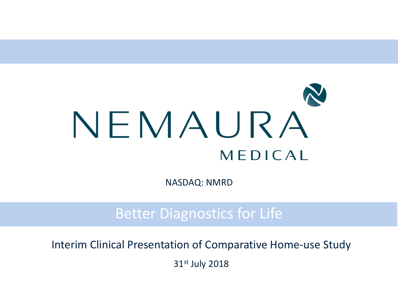

NASDAQ: NMRD

Better Diagnostics for Life

Interim Clinical Presentation of Comparative Home-use Study

31st July 2018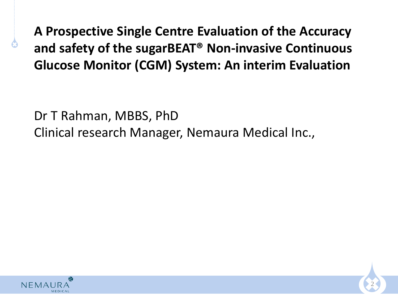**A Prospective Single Centre Evaluation of the Accuracy and safety of the sugarBEAT® Non-invasive Continuous Glucose Monitor (CGM) System: An interim Evaluation** 

Dr T Rahman, MBBS, PhD Clinical research Manager, Nemaura Medical Inc.,



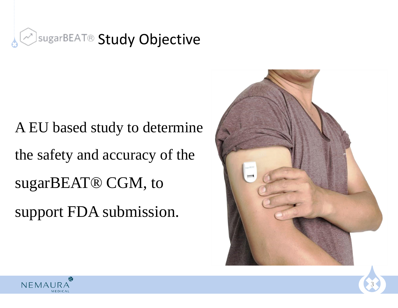

# A EU based study to determine the safety and accuracy of the sugarBEAT® CGM, to support FDA submission.



3

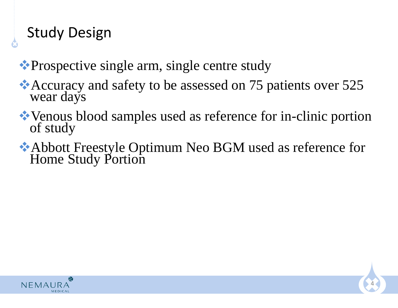# Study Design

❖Prospective single arm, single centre study

- ❖Accuracy and safety to be assessed on 75 patients over 525 wear days
- ❖Venous blood samples used as reference for in-clinic portion of study
- ❖Abbott Freestyle Optimum Neo BGM used as reference for Home Study Portion

4

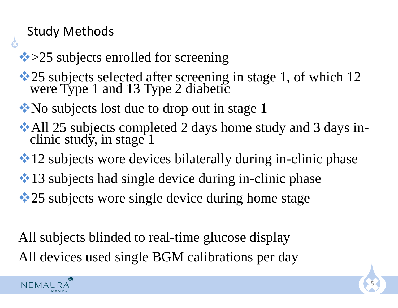### Study Methods

- **❖ > 25 subjects enrolled for screening**
- ◆ 25 subjects selected after screening in stage 1, of which 12 were Type 1 and 13 Type 2 diabetic
- ❖No subjects lost due to drop out in stage 1
- ❖All 25 subjects completed 2 days home study and 3 days inclinic study, in stage 1
- **❖ 12 subjects wore devices bilaterally during in-clinic phase**
- **❖ 13** subjects had single device during in-clinic phase
- **❖ 25 subjects wore single device during home stage**

All subjects blinded to real-time glucose display All devices used single BGM calibrations per day



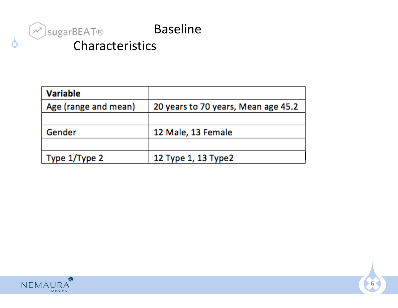

| <b>Variable</b>      |                                     |  |  |  |
|----------------------|-------------------------------------|--|--|--|
| Age (range and mean) | 20 years to 70 years, Mean age 45.2 |  |  |  |
|                      |                                     |  |  |  |
| Gender               | 12 Male, 13 Female                  |  |  |  |
|                      |                                     |  |  |  |
| Type 1/Type 2        | 12 Type 1, 13 Type2                 |  |  |  |



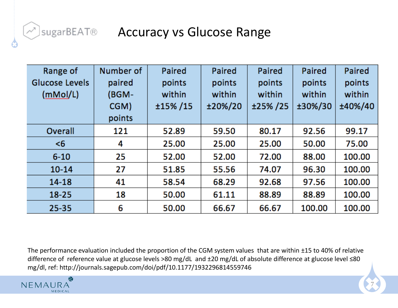## IsugarBEAT® Accuracy vs Glucose Range

| Range of<br><b>Glucose Levels</b><br>(mMol/L) | Number of<br>paired<br>(BGM- | Paired<br>points<br>within | Paired<br>points<br>within | Paired<br>points<br>within | Paired<br>points<br>within | Paired<br>points<br>within |
|-----------------------------------------------|------------------------------|----------------------------|----------------------------|----------------------------|----------------------------|----------------------------|
|                                               | CGM)                         | ±15%/15                    | ±20%/20                    | ±25%/25                    | ±30%/30                    | ±40%/40                    |
|                                               | points                       |                            |                            |                            |                            |                            |
| Overall                                       | 121                          | 52.89                      | 59.50                      | 80.17                      | 92.56                      | 99.17                      |
| <6                                            | 4                            | 25.00                      | 25.00                      | 25.00                      | 50.00                      | 75.00                      |
| $6 - 10$                                      | 25                           | 52.00                      | 52.00                      | 72.00                      | 88.00                      | 100.00                     |
| $10 - 14$                                     | 27                           | 51.85                      | 55.56                      | 74.07                      | 96.30                      | 100.00                     |
| 14-18                                         | 41                           | 58.54                      | 68.29                      | 92.68                      | 97.56                      | 100.00                     |
| $18 - 25$                                     | 18                           | 50.00                      | 61.11                      | 88.89                      | 88.89                      | 100.00                     |
| $25 - 35$                                     | 6                            | 50.00                      | 66.67                      | 66.67                      | 100.00                     | 100.00                     |

The performance evaluation included the proportion of the CGM system values that are within ±15 to 40% of relative difference of reference value at glucose levels >80 mg/dL and ±20 mg/dL of absolute difference at glucose level ≤80 mg/dl, ref: http://journals.sagepub.com/doi/pdf/10.1177/1932296814559746

7

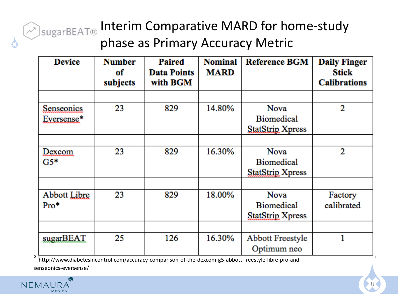# $\widehat{\mathcal{P}}_{\text{SugarBEAT}\otimes}$  Interim Comparative MARD for home-study phase as Primary Accuracy Metric

| <b>Device</b>                   | <b>Number</b><br>оf<br>subjects | Paired<br><b>Data Points</b><br>with BGM | <b>Nominal</b><br><b>MARD</b> | <b>Reference BGM</b>                                        | <b>Daily Finger</b><br>Stick<br><b>Calibrations</b> |
|---------------------------------|---------------------------------|------------------------------------------|-------------------------------|-------------------------------------------------------------|-----------------------------------------------------|
|                                 |                                 |                                          |                               |                                                             |                                                     |
| <b>Senseonics</b><br>Eversense* | 23                              | 829                                      | 14.80%                        | <b>Nova</b><br><b>Biomedical</b><br><b>StatStrip Xpress</b> | 2                                                   |
|                                 |                                 |                                          |                               |                                                             |                                                     |
| Dexcom<br>$G5*$                 | 23                              | 829                                      | 16.30%                        | <b>Nova</b><br><b>Biomedical</b><br><b>StatStrip Xpress</b> | 2                                                   |
|                                 |                                 |                                          |                               |                                                             |                                                     |
| <b>Abbott Libre</b><br>$Pro*$   | 23                              | 829                                      | 18.00%                        | <b>Nova</b><br><b>Biomedical</b><br><b>StatStrip Xpress</b> | Factory<br>calibrated                               |
|                                 |                                 |                                          |                               |                                                             |                                                     |
| sugarBEAT                       | 25                              | 126                                      | 16.30%                        | Abbott Freestyle<br>Optimum neo                             |                                                     |

\*http://www.diabetesincontrol.com/accuracy-comparison-of-the-dexcom-g5-abbott-freestyle-libre-pro-and-

senseonics-eversense/

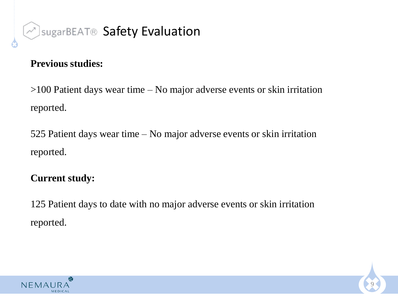

#### **Previous studies:**

>100 Patient days wear time – No major adverse events or skin irritation reported.

525 Patient days wear time – No major adverse events or skin irritation reported.

#### **Current study:**

125 Patient days to date with no major adverse events or skin irritation reported.